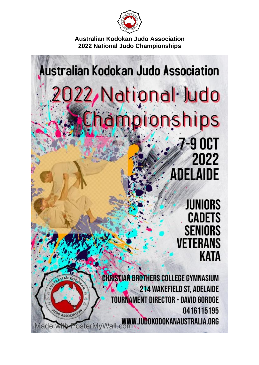

# **Australian Kodokan Judo Association** 2022, National Judo Championships

**7-9 OCT** 2022 **ADELAIDE** 

> **JUNIORS CADETS** SENIORS **VETERANS KATA**

**CHRISTIAN BROTHERS COLLEGE GYMNASIUM** 214 WAKEFIELD ST, ADELAIDE **TOURNAMENT DIRECTOR - DAVID GORDGE** 0416115195 OO ASSOC OsterMyWall.com ... UDOKODOKANAUSTRALIA.ORG lade wi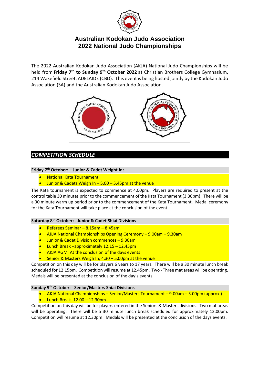

The 2022 Australian Kodokan Judo Association (AKJA) National Judo Championships will be held from **Friday 7 th to Sunday 9 th October 2022** at Christian Brothers College Gymnasium, 214 Wakefield Street, ADELAIDE (CBD). This event is being hosted jointly by the Kodokan Judo Association (SA) and the Australian Kodokan Judo Association.



## *COMPETITION SCHEDULE*

### **Friday 7 th October: – Junior & Cadet Weight In:**

- National Kata Tournament
- Junior & Cadets Weigh In 5.00 5.45pm at the venue

The Kata tournament is expected to commence at 4.00pm. Players are required to present at the control table 30 minutes prior to the commencement of the Kata Tournament (3.30pm). There will be a 30 minute warm up period prior to the commencement of the Kata Tournament. Medal ceremony for the Kata Tournament will take place at the conclusion of the event.

#### **Saturday 8 th October: - Junior & Cadet Shiai Divisions**

- Referees Seminar 8.15am 8.45am
- AKJA National Championships Opening Ceremony 9.00am 9.30am
- Junior & Cadet Division commences 9.30am
- Lunch Break –approximately 12.15 12.45pm
- AKJA AGM; At the conclusion of the days events
- Senior & Masters Weigh In;  $4.30 5.00$ pm at the venue

Competition on this day will be for players 6 years to 17 years. There will be a 30 minute lunch break scheduled for 12.15pm. Competition will resume at 12.45pm. Two - Three mat areas will be operating. Medals will be presented at the conclusion of the day's events.

#### **Sunday 9 th October: - Senior/Masters Shiai Divisions**

- AKJA National Championships Senior/Masters Tournament 9.00am 3.00pm (approx.)
- Lunch Break -12.00 12.30pm

Competition on this day will be for players entered in the Seniors & Masters divisions. Two mat areas will be operating. There will be a 30 minute lunch break scheduled for approximately 12.00pm. Competition will resume at 12.30pm. Medals will be presented at the conclusion of the days events.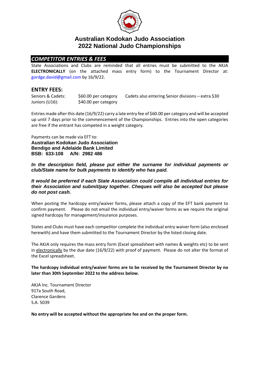

## *COMPETITOR ENTRIES & FEES*

State Associations and Clubs are reminded that all entries must be submitted to the AKJA **ELECTRONICALLY** (on the attached mass entry form) to the Tournament Director at: [gordge.david@gmail.com](mailto:david.gordge@optusnet.com.au) by 16/9/22.

## **ENTRY FEES:**

| Seniors & Cadets: | \$60.00 per category | Cadets also entering Senior divisions – extra \$30 |
|-------------------|----------------------|----------------------------------------------------|
| Juniors (U16):    | \$40.00 per category |                                                    |

Entries made afterthis date (16/9/22) carry a late entry fee of \$60.00 per category and will be accepted up until 7 days prior to the commencement of the Championships. Entries into the open categories are free if the entrant has competed in a weight category.

Payments can be made via EFT to: **Australian Kodokan Judo Association Bendigo and Adelaide Bank Limited BSB: 633-108 A/N: 2982 486**

*In the description field, please put either the surname for individual payments or club/State name for bulk payments to identify who has paid.* 

*It would be preferred if each State Association could compile all individual entries for their Association and submit/pay together. Cheques will also be accepted but please do not post cash.*

When posting the hardcopy entry/waiver forms, please attach a copy of the EFT bank payment to confirm payment. Please do not email the individual entry/waiver forms as we require the original signed hardcopy for management/insurance purposes.

States and Clubs must have each competitor complete the individual entry waiver form (also enclosed herewith) and have them submitted to the Tournament Director by the listed closing date.

The AKJA only requires the mass entry form (Excel spreadsheet with names & weights etc) to be sent in electronically by the due date (16/9/22) with proof of payment. Please do not alter the format of the Excel spreadsheet.

**The hardcopy individual entry/waiver forms are to be received by the Tournament Director by no later than 30th September 2022 to the address below.** 

AKJA Inc. Tournament Director 917a South Road, Clarence Gardens S.A. 5039

**No entry will be accepted without the appropriate fee and on the proper form.**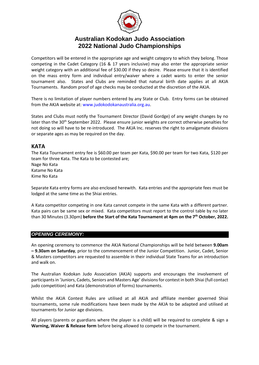

Competitors will be entered in the appropriate age and weight category to which they belong. Those competing in the Cadet Category (16 & 17 years inclusive) may also enter the appropriate senior weight category with an additional fee of \$30.00 if they so desire. Please ensure that it is identified on the mass entry form and individual entry/waiver where a cadet wants to enter the senior tournament also. States and Clubs are reminded that natural birth date applies at all AKJA Tournaments. Random proof of age checks may be conducted at the discretion of the AKJA.

There is no limitation of player numbers entered by any State or Club. Entry forms can be obtained from the AKJA website at: [www.judokodokanaustralia.org.au.](http://www.judokodokanaustralia.org.au/)

States and Clubs must notify the Tournament Director (David Gordge) of any weight changes by no later than the 30<sup>th</sup> September 2022. Please ensure junior weights are correct otherwise penalties for not doing so will have to be re-introduced. The AKJA Inc. reserves the right to amalgamate divisions or separate ages as may be required on the day.

## **KATA**

The Kata Tournament entry fee is \$60.00 per team per Kata, \$90.00 per team for two Kata, \$120 per team for three Kata. The Kata to be contested are; Nage No Kata Katame No Kata Kime No Kata

Separate Kata entry forms are also enclosed herewith. Kata entries and the appropriate fees must be lodged at the same time as the Shiai entries.

A Kata competitor competing in one Kata cannot compete in the same Kata with a different partner. Kata pairs can be same sex or mixed. Kata competitors must report to the control table by no later than 30 Minutes (3.30pm) **before the Start of the Kata Tournament at 4pm on the 7 th October, 2022.**

#### *OPENING CEREMONY:*

An opening ceremony to commence the AKJA National Championships will be held between **9.00am – 9.30am on Saturday**, prior to the commencement of the Junior Competition. Junior, Cadet, Senior & Masters competitors are requested to assemble in their individual State Teams for an introduction and walk on.

The Australian Kodokan Judo Association (AKJA) supports and encourages the involvement of participants in 'Juniors, Cadets, Seniors and Masters Age' divisions for contest in both Shiai (full contact judo competition) and Kata (demonstration of forms) tournaments.

Whilst the AKJA Contest Rules are utilised at all AKJA and affiliate member governed Shiai tournaments, some rule modifications have been made by the AKJA to be adapted and utilised at tournaments for Junior age divisions.

All players (parents or guardians where the player is a child) will be required to complete & sign a **Warning, Waiver & Release form** before being allowed to compete in the tournament.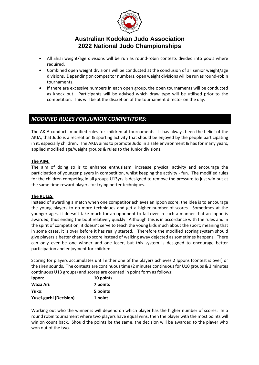

- All Shiai weight/age divisions will be run as round-robin contests divided into pools where required.
- Combined open weight divisions will be conducted at the conclusion of all senior weight/age divisions. Depending on competitor numbers, open weight divisions will be run as round-robin tournaments.
- If there are excessive numbers in each open group, the open tournaments will be conducted as knock out. Participants will be advised which draw type will be utilised prior to the competition. This will be at the discretion of the tournament director on the day.

## *MODIFIED RULES FOR JUNIOR COMPETITORS:*

The AKJA conducts modified rules for children at tournaments. It has always been the belief of the AKJA, that Judo is a recreation & sporting activity that should be enjoyed by the people participating in it, especially children. The AKJA aims to promote Judo in a safe environment & has for many years, applied modified age/weight groups & rules to the Junior divisions.

#### **The AIM:**

The aim of doing so is to enhance enthusiasm, increase physical activity and encourage the participation of younger players in competition, whilst keeping the activity - fun. The modified rules for the children competing in all groups U13yrs is designed to remove the pressure to just win but at the same time reward players for trying better techniques.

#### **The RULES:**

Instead of awarding a match when one competitor achieves an Ippon score, the idea is to encourage the young players to do more techniques and get a higher number of scores. Sometimes at the younger ages, it doesn't take much for an opponent to fall over in such a manner that an Ippon is awarded, thus ending the bout relatively quickly. Although this is in accordance with the rules and in the spirit of competition, it doesn't serve to teach the young kids much about the sport; meaning that in some cases, it is over before it has really started. Therefore the modified scoring system should give players a better chance to score instead of walking away dejected as sometimes happens. There can only ever be one winner and one loser, but this system is designed to encourage better participation and enjoyment for children.

Scoring for players accumulates until either one of the players achieves 2 Ippons (contest is over) or the siren sounds. The contests are continuous time (2 minutes continuous for U10 groups & 3 minutes continuous U13 groups) and scores are counted in point form as follows:

| Ippon:                        | 10 points |
|-------------------------------|-----------|
| Waza Ari:                     | 7 points  |
| Yuko:                         | 5 points  |
| <b>Yusei-gachi (Decision)</b> | 1 point   |

Working out who the winner is will depend on which player has the higher number of scores. In a round robin tournament where two players have equal wins, then the player with the most points will win on count back. Should the points be the same, the decision will be awarded to the player who won out of the two.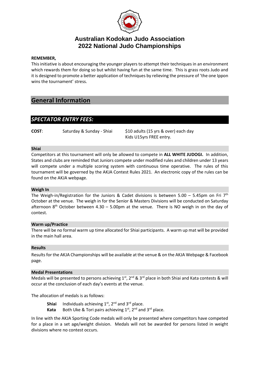

#### **REMEMBER,**

This initiative is about encouraging the younger players to attempt their techniques in an environment which rewards them for doing so but whilst having fun at the same time. This is grass roots Judo and it is designed to promote a better application of techniques by relieving the pressure of 'the one Ippon wins the tournament' stress.

## **General Information**

## *SPECTATOR ENTRY FEES:*

**COST:** Saturday & Sunday - Shiai \$10 adults (15 yrs & over) each day Kids U15yrs FREE entry.

#### **Shiai**

Competitors at this tournament will only be allowed to compete in **ALL WHITE JUDOGI.** In addition, States and clubs are reminded that Juniors compete under modified rules and children under 13 years will compete under a multiple scoring system with continuous time operative. The rules of this tournament will be governed by the AKJA Contest Rules 2021. An electronic copy of the rules can be found on the AKJA webpage.

#### **Weigh In**

The Weigh-in/Registration for the Juniors & Cadet divisions is between 5.00 - 5.45pm on Fri 7<sup>th</sup> October at the venue. The weigh in for the Senior & Masters Divisions will be conducted on Saturday afternoon  $8<sup>th</sup>$  October between 4.30 – 5.00pm at the venue. There is NO weigh in on the day of contest.

#### **Warm up/Practice**

There will be no formal warm up time allocated for Shiai participants. A warm up mat will be provided in the main hall area.

#### **Results**

Results for the AKJA Championships will be available at the venue & on the AKJA Webpage & Facebook page.

#### **Medal Presentations**

Medals will be presented to persons achieving  $1^{st}$ ,  $2^{nd}$  &  $3^{rd}$  place in both Shiai and Kata contests & will occur at the conclusion of each day's events at the venue.

The allocation of medals is as follows:

**Shiai** Individuals achieving  $1^{st}$ ,  $2^{nd}$  and  $3^{rd}$  place.

**Kata** Both Uke & Tori pairs achieving 1<sup>st</sup>, 2<sup>nd</sup> and 3<sup>rd</sup> place.

In line with the AKJA Sporting Code medals will only be presented where competitors have competed for a place in a set age/weight division. Medals will not be awarded for persons listed in weight divisions where no contest occurs.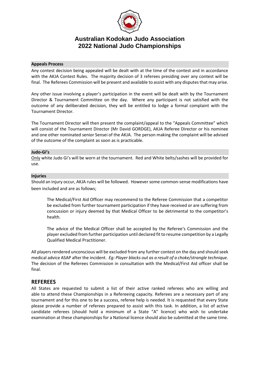

#### **Appeals Process**

Any contest decision being appealed will be dealt with at the time of the contest and in accordance with the AKJA Contest Rules. The majority decision of 3 referees presiding over any contest will be final. The Referees Commission will be present and available to assist with any disputes that may arise.

Any other issue involving a player's participation in the event will be dealt with by the Tournament Director & Tournament Committee on the day. Where any participant is not satisfied with the outcome of any deliberated decision, they will be entitled to lodge a formal complaint with the Tournament Director.

The Tournament Director will then present the complaint/appeal to the "Appeals Committee" which will consist of the Tournament Director (Mr David GORDGE), AKJA Referee Director or his nominee and one other nominated senior Sensei of the AKJA. The person making the complaint will be advised of the outcome of the complaint as soon as is practicable.

#### **Judo-Gi's**

Only white Judo Gi's will be worn at the tournament. Red and White belts/sashes will be provided for use.

#### **Injuries**

Should an injury occur, AKJA rules will be followed. However some common-sense modifications have been included and are as follows;

The Medical/First Aid Officer may recommend to the Referee Commission that a competitor be excluded from further tournament participation if they have received or are suffering from concussion or injury deemed by that Medical Officer to be detrimental to the competitor's health.

The advice of the Medical Officer shall be accepted by the Referee's Commission and the player excluded from further participation until declared fit to resume competition by a Legally Qualified Medical Practitioner.

All players rendered unconscious will be excluded from any further contest on the day and should seek medical advice ASAP after the incident. *Eg: Player blacks out as a result of a choke/strangle technique.* The decision of the Referees Commission in consultation with the Medical/First Aid officer shall be final.

#### **REFEREES**

All States are requested to submit a list of their active ranked referees who are willing and able to attend these Championships in a Refereeing capacity. Referees are a necessary part of any tournament and for this one to be a success, referee help is needed. It is requested that every State please provide a number of referees prepared to assist with this task. In addition, a list of active candidate referees (should hold a minimum of a State "A" licence) who wish to undertake examination at these championships for a National licence should also be submitted at the same time.